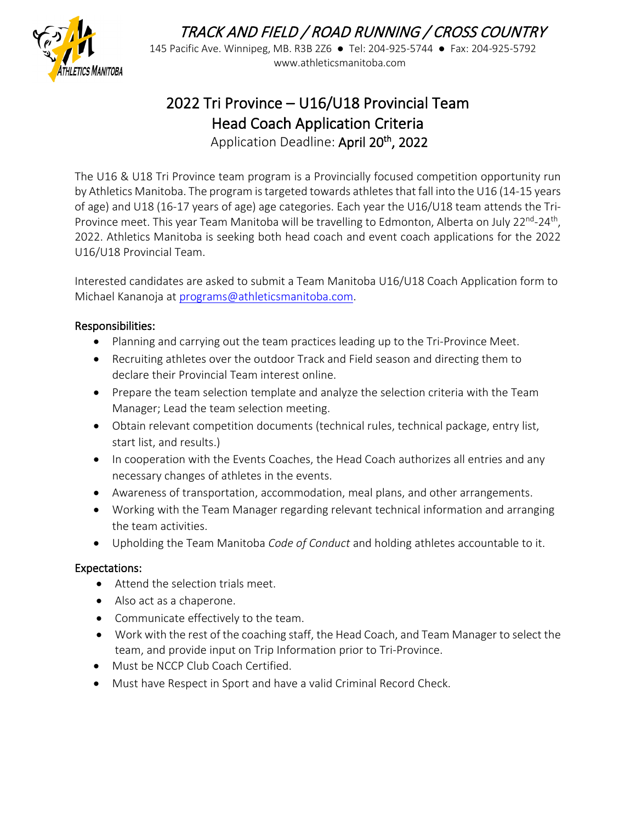

# TRACK AND FIELD / ROAD RUNNING / CROSS COUNTRY

145 Pacific Ave. Winnipeg, MB. R3B 2Z6 ● Tel: 204-925-5744 ● Fax: 204-925-5792 Www.athleticsmanitoba.com<br>HLETICS MANITOBA

## 2022 Tri Province – U16/U18 Provincial Team Head Coach Application Criteria Application Deadline: April 20<sup>th</sup>, 2022

The U16 & U18 Tri Province team program is a Provincially focused competition opportunity run by Athletics Manitoba. The program is targeted towards athletes that fall into the U16 (14-15 years of age) and U18 (16-17 years of age) age categories. Each year the U16/U18 team attends the Tri-Province meet. This year Team Manitoba will be travelling to Edmonton, Alberta on July 22<sup>nd</sup>-24<sup>th</sup>, 2022. Athletics Manitoba is seeking both head coach and event coach applications for the 2022 U16/U18 Provincial Team.

Interested candidates are asked to submit a Team Manitoba U16/U18 Coach Application form to Michael Kananoja at [programs@athleticsmanitoba.com.](mailto:programs@athleticsmanitoba.com)

### Responsibilities:

- Planning and carrying out the team practices leading up to the Tri-Province Meet.
- Recruiting athletes over the outdoor Track and Field season and directing them to declare their Provincial Team interest online.
- Prepare the team selection template and analyze the selection criteria with the Team Manager; Lead the team selection meeting.
- Obtain relevant competition documents (technical rules, technical package, entry list, start list, and results.)
- In cooperation with the Events Coaches, the Head Coach authorizes all entries and any necessary changes of athletes in the events.
- Awareness of transportation, accommodation, meal plans, and other arrangements.
- Working with the Team Manager regarding relevant technical information and arranging the team activities.
- Upholding the Team Manitoba *Code of Conduct* and holding athletes accountable to it.

#### Expectations:

- Attend the selection trials meet.
- Also act as a chaperone.
- Communicate effectively to the team.
- Work with the rest of the coaching staff, the Head Coach, and Team Manager to select the team, and provide input on Trip Information prior to Tri-Province.
- Must be NCCP Club Coach Certified.
- Must have Respect in Sport and have a valid Criminal Record Check.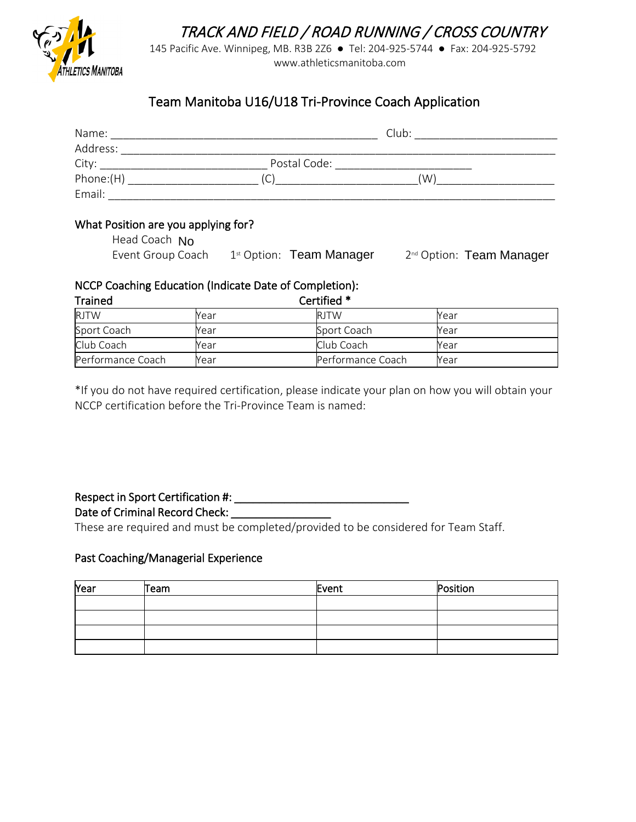TRACK AND FIELD / ROAD RUNNING / CROSS COUNTRY



145 Pacific Ave. Winnipeg, MB. R3B 2Z6 ● Tel: 204-925-5744 ● Fax: 204-925-5792 www.athleticsmanitoba.com

### Team Manitoba U16/U18 Tri-Province Coach Application

| Name:     |              | Club: |  |
|-----------|--------------|-------|--|
| Address:  |              |       |  |
| City:     | Postal Code: |       |  |
| Phone:(H) |              | (W)   |  |
| Email:    |              |       |  |

#### What Position are you applying for?

| Head Coach No     |                                      |                                      |
|-------------------|--------------------------------------|--------------------------------------|
| Event Group Coach | 1 <sup>st</sup> Option: Team Manager | 2 <sup>nd</sup> Option: Team Manager |

#### NCCP Coaching Education (Indicate Date of Completion):

| <b>Trained</b>    | Certified * |                   |      |  |
|-------------------|-------------|-------------------|------|--|
| <b>RJTW</b>       | Year        | <b>RITW</b>       | Year |  |
| Sport Coach       | Year        | Sport Coach       | Year |  |
| Club Coach        | Year        | Club Coach        | Year |  |
| Performance Coach | Year        | Performance Coach | Year |  |

\*If you do not have required certification, please indicate your plan on how you will obtain your NCCP certification before the Tri-Province Team is named:

## Respect in Sport Certification #: \_\_\_\_\_\_\_\_\_\_\_\_\_\_\_\_\_\_\_\_\_\_\_\_\_\_\_\_

#### Date of Criminal Record Check: \_\_\_\_\_\_\_\_\_\_\_\_\_\_\_\_

These are required and must be completed/provided to be considered for Team Staff.

#### Past Coaching/Managerial Experience

| Year | Team | Event | Position |
|------|------|-------|----------|
|      |      |       |          |
|      |      |       |          |
|      |      |       |          |
|      |      |       |          |